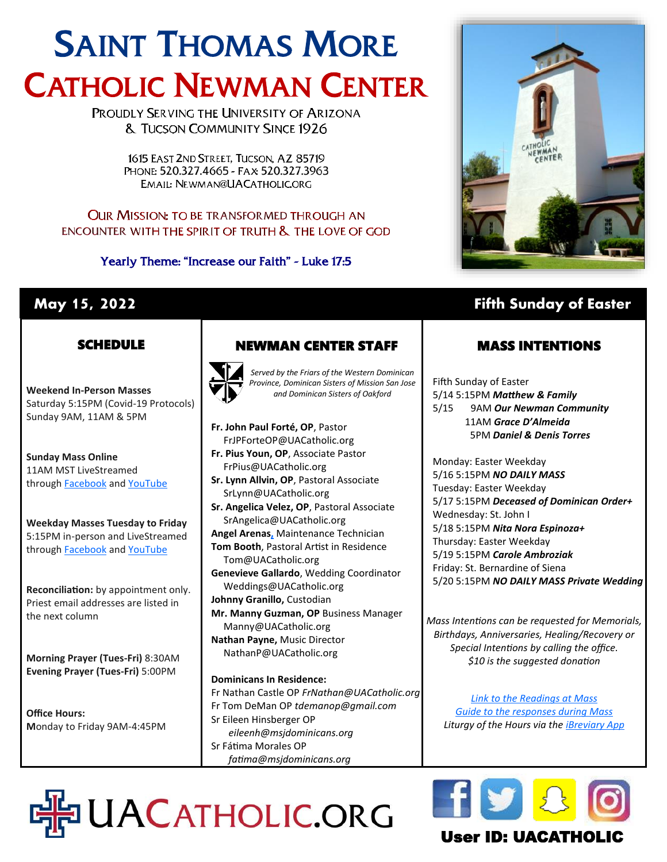# SAINT THOMAS MORE CATHOLIC NEWMAN CENTER

PROUDLY SERVING THE UNIVERSITY OF ARIZONA **& TUCSON COMMUNITY SINCE 1926** 

> 1615 EAST 2ND STREET. TUCSON, AZ 85719 PHONE: 520.327.4665 - FAX: 520.327.3963 EMAIL: NEWMAN@UACATHOLIC.ORG

**OUR MISSION: TO BE TRANSFORMED THROUGH AN** ENCOUNTER WITH THE SPIRIT OF TRUTH & THE LOVE OF GOD

Yearly Theme: "Increase our Faith" - Luke 17:5



## **May 15, 2022 Fifth Sunday of Easter**

#### **SCHEDULE**

**Weekend In-Person Masses**  Saturday 5:15PM (Covid-19 Protocols) Sunday 9AM, 11AM & 5PM

**Sunday Mass Online** 11AM MST LiveStreamed through **[Facebook](http://www.facebook.com/uacatholic/live)** and YouTube

**Weekday Masses Tuesday to Friday** 5:15PM in-person and LiveStreamed through **[Facebook](http://www.facebook.com/uacatholic/live)** and [YouTube](http://www.youtube.com/uacatholic)

**Reconciliation:** by appointment only. Priest email addresses are listed in the next column

**Morning Prayer (Tues-Fri)** 8:30AM **Evening Prayer (Tues-Fri)** 5:00PM

**Office Hours: M**onday to Friday 9AM-4:45PM

## NEWMAN CENTER STAFF



*Served by the Friars of the Western Dominican Province, Dominican Sisters of Mission San Jose and Dominican Sisters of Oakford*

**Fr. John Paul Forté, OP**, Pastor FrJPForteOP@UACatholic.org **Fr. Pius Youn, OP**, Associate Pastor FrPius@UACatholic.org

- **Sr. Lynn Allvin, OP**, Pastoral Associate SrLynn@UACatholic.org
- **Sr. Angelica Velez, OP**, Pastoral Associate SrAngelica@UACatholic.org **Angel Arenas[,](https://diocesetucson.org/human-resources/employment-opportunities/?gnk=job&gni=8a78859e7ce7e880017d542227cb4d42)** Maintenance Technician
- **Tom Booth**, Pastoral Artist in Residence Tom@UACatholic.org
- **Genevieve Gallardo**, Wedding Coordinator Weddings@UACatholic.org **Johnny Granillo,** Custodian
- **Mr. Manny Guzman, OP** Business Manager Manny@UACatholic.org **Nathan Payne,** Music Director
- NathanP@UACatholic.org

#### **Dominicans In Residence:**

DHPUACATHOLIC.ORG

Fr Nathan Castle OP *FrNathan@UACatholic.org* Fr Tom DeMan OP *tdemanop@gmail.com* Sr Eileen Hinsberger OP *eileenh@msjdominicans.org* Sr Fátima Morales OP  *fatima@msjdominicans.org*

### MASS INTENTIONS

Fifth Sunday of Easter 5/14 5:15PM *Matthew & Family* 5/15 9AM *Our Newman Community* 11AM *Grace D'Almeida* 5PM *Daniel & Denis Torres*

Monday: Easter Weekday 5/16 5:15PM *NO DAILY MASS* Tuesday: Easter Weekday 5/17 5:15PM *Deceased of Dominican Order+* Wednesday: St. John I 5/18 5:15PM *Nita Nora Espinoza+* Thursday: Easter Weekday 5/19 5:15PM *Carole Ambroziak* Friday: St. Bernardine of Siena 5/20 5:15PM *NO DAILY MASS Private Wedding*

*Mass Intentions can be requested for Memorials, Birthdays, Anniversaries, Healing/Recovery or Special Intentions by calling the office. \$10 is the suggested donation*

*[Link to the Readings at Mass](http://usccb.org/readings) [Guide to the responses during Mass](https://universalis.com/static/mass/orderofmass.htm) Liturgy of the Hours via the [iBreviary App](https://www.ibreviary.org/en/)*



## User ID: UACATHO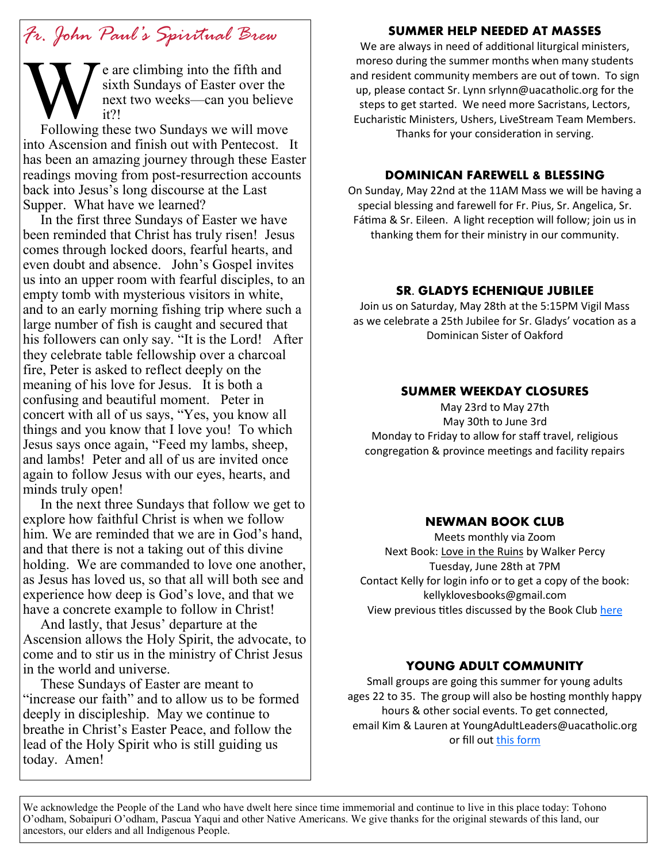## *Fr. John Paul's Spiritual Brew*

e are climbing into the fifth and sixth Sundays of Easter over the next two weeks—can you believe it?!

**W**<br>Following Following these two Sundays we will move into Ascension and finish out with Pentecost. It has been an amazing journey through these Easter readings moving from post-resurrection accounts back into Jesus's long discourse at the Last Supper. What have we learned?

 In the first three Sundays of Easter we have been reminded that Christ has truly risen! Jesus comes through locked doors, fearful hearts, and even doubt and absence. John's Gospel invites us into an upper room with fearful disciples, to an empty tomb with mysterious visitors in white, and to an early morning fishing trip where such a large number of fish is caught and secured that his followers can only say. "It is the Lord! After they celebrate table fellowship over a charcoal fire, Peter is asked to reflect deeply on the meaning of his love for Jesus. It is both a confusing and beautiful moment. Peter in concert with all of us says, "Yes, you know all things and you know that I love you! To which Jesus says once again, "Feed my lambs, sheep, and lambs! Peter and all of us are invited once again to follow Jesus with our eyes, hearts, and minds truly open!

 In the next three Sundays that follow we get to explore how faithful Christ is when we follow him. We are reminded that we are in God's hand, and that there is not a taking out of this divine holding. We are commanded to love one another, as Jesus has loved us, so that all will both see and experience how deep is God's love, and that we have a concrete example to follow in Christ!

 And lastly, that Jesus' departure at the Ascension allows the Holy Spirit, the advocate, to come and to stir us in the ministry of Christ Jesus in the world and universe.

 These Sundays of Easter are meant to "increase our faith" and to allow us to be formed deeply in discipleship. May we continue to breathe in Christ's Easter Peace, and follow the lead of the Holy Spirit who is still guiding us today. Amen!

#### **SUMMER HELP NEEDED AT MASSES**

We are always in need of additional liturgical ministers, moreso during the summer months when many students and resident community members are out of town. To sign up, please contact Sr. Lynn srlynn@uacatholic.org for the steps to get started. We need more Sacristans, Lectors, Eucharistic Ministers, Ushers, LiveStream Team Members. Thanks for your consideration in serving.

#### **DOMINICAN FAREWELL & BLESSING**

On Sunday, May 22nd at the 11AM Mass we will be having a special blessing and farewell for Fr. Pius, Sr. Angelica, Sr. Fátima & Sr. Eileen. A light reception will follow; join us in thanking them for their ministry in our community.

#### **SR. GLADYS ECHENIQUE JUBILEE**

Join us on Saturday, May 28th at the 5:15PM Vigil Mass as we celebrate a 25th Jubilee for Sr. Gladys' vocation as a Dominican Sister of Oakford

#### **SUMMER WEEKDAY CLOSURES**

May 23rd to May 27th May 30th to June 3rd Monday to Friday to allow for staff travel, religious congregation & province meetings and facility repairs

#### **NEWMAN BOOK CLUB**

Meets monthly via Zoom Next Book: Love in the Ruins by Walker Percy Tuesday, June 28th at 7PM Contact Kelly for login info or to get a copy of the book: kellyklovesbooks@gmail.com View previous titles discussed by the Book Club [here](https://www.goodreads.com/group/bookshelf/1128855-newman-book-club?order=d&per_page=30&shelf=read&sort=date_added&view=main)

#### **YOUNG ADULT COMMUNITY**

Small groups are going this summer for young adults ages 22 to 35. The group will also be hosting monthly happy hours & other social events. To get connected, email Kim & Lauren at YoungAdultLeaders@uacatholic.org or fill out [this form](https://docs.google.com/forms/d/e/1FAIpQLSevA_xqqbs5QDDzXLRCyV7jBXYreBKAYDq8RMziPX8UqC2ImA/viewform)

We acknowledge the People of the Land who have dwelt here since time immemorial and continue to live in this place today: Tohono O'odham, Sobaipuri O'odham, Pascua Yaqui and other Native Americans. We give thanks for the original stewards of this land, our ancestors, our elders and all Indigenous People.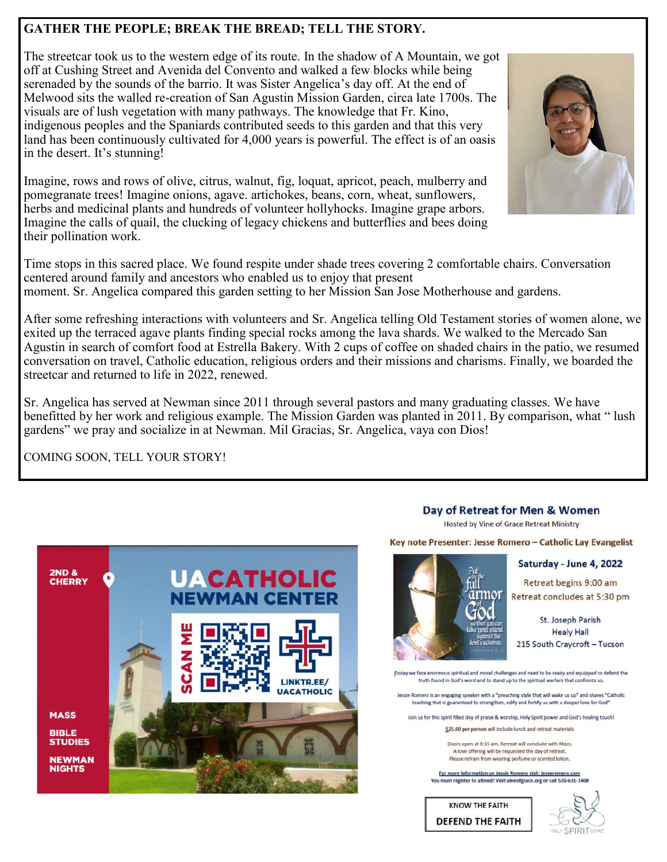#### **GATHER THE PEOPLE; BREAK THE BREAD; TELL THE STORY.**

The streetcar took us to the western edge of its route. In the shadow of A Mountain, we got off at Cushing Street and Avenida del Convento and walked a few blocks while being serenaded by the sounds of the barrio. It was Sister Angelica's day off. At the end of Melwood sits the walled re-creation of San Agustin Mission Garden, circa late 1700s. The visuals are of lush vegetation with many pathways. The knowledge that Fr. Kino, indigenous peoples and the Spaniards contributed seeds to this garden and that this very land has been continuously cultivated for 4,000 years is powerful. The effect is of an oasis in the desert. It's stunning!

Imagine, rows and rows of olive, citrus, walnut, fig, loquat, apricot, peach, mulberry and pomegranate trees! Imagine onions, agave. artichokes, beans, corn, wheat, sunflowers, herbs and medicinal plants and hundreds of volunteer hollyhocks. Imagine grape arbors. Imagine the calls of quail, the clucking of legacy chickens and butterflies and bees doing their pollination work.

Time stops in this sacred place. We found respite under shade trees covering 2 comfortable chairs. Conversation centered around family and ancestors who enabled us to enjoy that present moment. Sr. Angelica compared this garden setting to her Mission San Jose Motherhouse and gardens.

After some refreshing interactions with volunteers and Sr. Angelica telling Old Testament stories of women alone, we exited up the terraced agave plants finding special rocks among the lava shards. We walked to the Mercado San Agustin in search of comfort food at Estrella Bakery. With 2 cups of coffee on shaded chairs in the patio, we resumed conversation on travel, Catholic education, religious orders and their missions and charisms. Finally, we boarded the streetcar and returned to life in 2022, renewed.

Sr. Angelica has served at Newman since 2011 through several pastors and many graduating classes. We have benefitted by her work and religious example. The Mission Garden was planted in 2011. By comparison, what " lush gardens" we pray and socialize in at Newman. Mil Gracias, Sr. Angelica, vaya con Dios!

COMING SOON, TELL YOUR STORY!



Hosted by Vine of Grace Retreat Ministry

Key note Presenter: Jesse Romero - Catholic Lay Evangelist



Retreat begins 9:00 am Retreat concludes at 5:30 pm

St. Joseph Parish **Healy Hall** 215 South Craycroft - Tucson

[Today we face enormous spiritual and moral challenges and need to be ready and equipped to defend the truth found in God's word and to stand up to the spiritual warfare that confronts us

Jessie Romero is an engaging speaker with a "preaching style that will wake us up" and shares "Catholic teaching that is guaranteed to strengthen, edify and fortify us with a deeper love for God

Join us for this spirit filled day of praise & worship. Holy Spirit power and God's healing touch!

\$25.00 per person will include lunch and retreat materials

Doors open at 8:15 am, Retreat will conclude with Mass. A love offering will be requested the day of retreat. Please refrain from wearing perfume or scented lotion.

For more information on Jessie Romero visit: jesseromero.com You must register to attend! Visit vineofgrace.org or call 520-631-1408

**KNOW THE FAITH DEFEND THE FAITH**